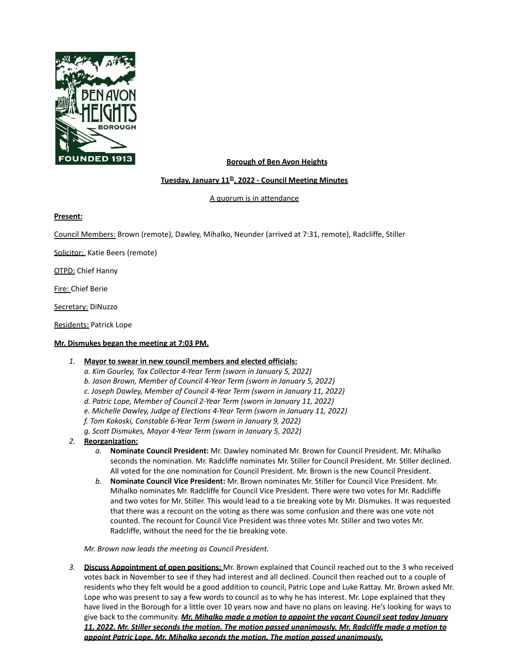

# **Borough of Ben Avon Heights**

## **Tuesday, January 11 th , 2022 - Council Meeting Minutes**

A quorum is in attendance

#### **Present:**

Council Members: Brown (remote), Dawley, Mihalko, Neunder (arrived at 7:31, remote), Radcliffe, Stiller

Solicitor: Katie Beers (remote)

**OTPD: Chief Hanny** 

Fire: Chief Berie

Secretary: DiNuzzo

Residents: Patrick Lope

### **Mr. Dismukes began the meeting at 7:03 PM.**

### *1.* **Mayor to swear in new council members and elected officials:**

- *a. Kim Gourley, Tax Collector 4-Year Term (sworn in January 5, 2022) b. Jason Brown, Member of Council 4-Year Term (sworn in January 5, 2022)*
- *c. Joseph Dawley, Member of Council 4-Year Term (sworn in January 11, 2022)*
- *d. Patric Lope, Member of Council 2-Year Term (sworn in January 11, 2022)*
- *e. Michelle Dawley, Judge of Elections 4-Year Term (sworn in January 11, 2022)*
- *f. Tom Kokoski, Constable 6-Year Term (sworn in January 9, 2022)*
- *g. Scott Dismukes, Mayor 4-Year Term (sworn in January 5, 2022)*
- *2.* **Reorganization:**
	- *a.* **Nominate Council President:** Mr. Dawley nominated Mr. Brown for Council President. Mr. Mihalko seconds the nomination. Mr. Radcliffe nominates Mr. Stiller for Council President. Mr. Stiller declined. All voted for the one nomination for Council President. Mr. Brown is the new Council President.
	- *b.* **Nominate Council Vice President:** Mr. Brown nominates Mr. Stiller for Council Vice President. Mr. Mihalko nominates Mr. Radcliffe for Council Vice President. There were two votes for Mr. Radcliffe and two votes for Mr. Stiller. This would lead to a tie breaking vote by Mr. Dismukes. It was requested that there was a recount on the voting as there was some confusion and there was one vote not counted. The recount for Council Vice President was three votes Mr. Stiller and two votes Mr. Radcliffe, without the need for the tie breaking vote.

*Mr. Brown now leads the meeting as Council President.*

*3.* **Discuss Appointment of open positions:** Mr. Brown explained that Council reached out to the 3 who received votes back in November to see if they had interest and all declined. Council then reached out to a couple of residents who they felt would be a good addition to council, Patric Lope and Luke Rattay. Mr. Brown asked Mr. Lope who was present to say a few words to council as to why he has interest. Mr. Lope explained that they have lived in the Borough for a little over 10 years now and have no plans on leaving. He's looking for ways to give back to the community. *Mr. Mihalko made a motion to appoint the vacant Council seat today January 11, 2022. Mr. Stiller seconds the motion. The motion passed unanimously. Mr. Radcliffe made a motion to appoint Patric Lope. Mr. Mihalko seconds the motion. The motion passed unanimously.*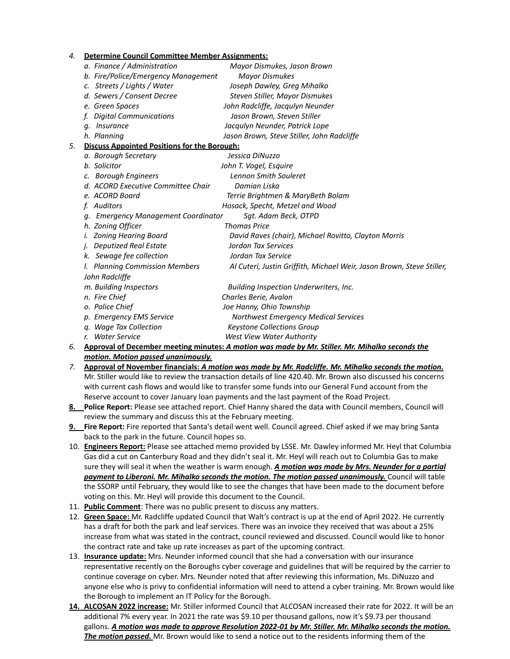| 4. | <b>Determine Council Committee Member Assignments:</b> |                                                                       |
|----|--------------------------------------------------------|-----------------------------------------------------------------------|
|    | a. Finance / Administration                            | Mayor Dismukes, Jason Brown                                           |
|    | b. Fire/Police/Emergency Management                    | <b>Mayor Dismukes</b>                                                 |
|    | c. Streets / Lights / Water                            | Joseph Dawley, Greg Mihalko                                           |
|    | d. Sewers / Consent Decree                             | Steven Stiller, Mayor Dismukes                                        |
|    | e. Green Spaces                                        | John Radcliffe, Jacqulyn Neunder                                      |
|    | <b>Digital Communications</b>                          | Jason Brown, Steven Stiller                                           |
|    | Insurance<br>a.                                        | Jacqulyn Neunder, Patrick Lope                                        |
|    | h. Planning                                            | Jason Brown, Steve Stiller, John Radcliffe                            |
| 5. | <b>Discuss Appointed Positions for the Borough:</b>    |                                                                       |
|    | a. Borough Secretary                                   | Jessica DiNuzzo                                                       |
|    | b. Solicitor                                           | John T. Vogel, Esquire                                                |
|    | c. Borough Engineers                                   | <b>Lennon Smith Souleret</b>                                          |
|    | d. ACORD Executive Committee Chair                     | Damian Liska                                                          |
|    | e. ACORD Board                                         | Terrie Brightmen & MaryBeth Bolam                                     |
|    | Auditors<br>f.                                         | Hosack, Specht, Metzel and Wood                                       |
|    | <b>Emergency Management Coordinator</b><br>q.          | Sgt. Adam Beck, OTPD                                                  |
|    | h. Zoning Officer                                      | <b>Thomas Price</b>                                                   |
|    | <b>Zoning Hearing Board</b>                            | David Raves (chair), Michael Rovitto, Clayton Morris                  |
|    | <b>Deputized Real Estate</b>                           | Jordan Tax Services                                                   |
|    | Sewage fee collection<br>k.                            | Jordan Tax Service                                                    |
|    | I. Planning Commission Members                         | Al Cuteri, Justin Griffith, Michael Weir, Jason Brown, Steve Stiller, |
|    | John Radcliffe                                         |                                                                       |
|    | m. Building Inspectors                                 | Building Inspection Underwriters, Inc.                                |
|    | n. Fire Chief                                          | Charles Berie, Avalon                                                 |
|    | o. Police Chief                                        | Joe Hanny, Ohio Township                                              |
|    | p. Emergency EMS Service                               | <b>Northwest Emergency Medical Services</b>                           |
|    | q. Wage Tax Collection                                 | <b>Keystone Collections Group</b>                                     |
|    | r. Water Service                                       | West View Water Authority                                             |

- *6.* **Approval of December meeting minutes:** *A motion was made by Mr. Stiller. Mr. Mihalko seconds the motion. Motion passed unanimously.*
- *7.* **Approval of November financials:** *A motion was made by Mr. Radcliffe. Mr. Mihalko seconds the motion.* Mr. Stiller would like to review the transaction details of line 420.40. Mr. Brown also discussed his concerns with current cash flows and would like to transfer some funds into our General Fund account from the Reserve account to cover January loan payments and the last payment of the Road Project.
- **8. Police Report:** Please see attached report. Chief Hanny shared the data with Council members, Council will review the summary and discuss this at the February meeting.
- **9. Fire Report:** Fire reported that Santa's detail went well. Council agreed. Chief asked if we may bring Santa back to the park in the future. Council hopes so.
- 10. **Engineers Report:** Please see attached memo provided by LSSE. Mr. Dawley informed Mr. Heyl that Columbia Gas did a cut on Canterbury Road and they didn't seal it. Mr. Heyl will reach out to Columbia Gas to make sure they will seal it when the weather is warm enough. *A motion was made by Mrs. Neunder for a partial payment to Liberoni. Mr. Mihalko seconds the motion. The motion passed unanimously.* Council will table the SSORP until February, they would like to see the changes that have been made to the document before voting on this. Mr. Heyl will provide this document to the Council.
- 11. **Public Comment**: There was no public present to discuss any matters.
- 12. **Green Space:** Mr. Radcliffe updated Council that Walt's contract is up at the end of April 2022. He currently has a draft for both the park and leaf services. There was an invoice they received that was about a 25% increase from what was stated in the contract, council reviewed and discussed. Council would like to honor the contract rate and take up rate increases as part of the upcoming contract.
- 13. **Insurance update:** Mrs. Neunder informed council that she had a conversation with our insurance representative recently on the Boroughs cyber coverage and guidelines that will be required by the carrier to continue coverage on cyber. Mrs. Neunder noted that after reviewing this information, Ms. DiNuzzo and anyone else who is privy to confidential information will need to attend a cyber training. Mr. Brown would like the Borough to implement an IT Policy for the Borough.
- **14. ALCOSAN 2022 increase:** Mr. Stiller informed Council that ALCOSAN increased their rate for 2022. It will be an additional 7% every year. In 2021 the rate was \$9.10 per thousand gallons, now it's \$9.73 per thousand gallons. *A motion was made to approve Resolution 2022-01 by Mr. Stiller. Mr. Mihalko seconds the motion. The motion passed.* Mr. Brown would like to send a notice out to the residents informing them of the